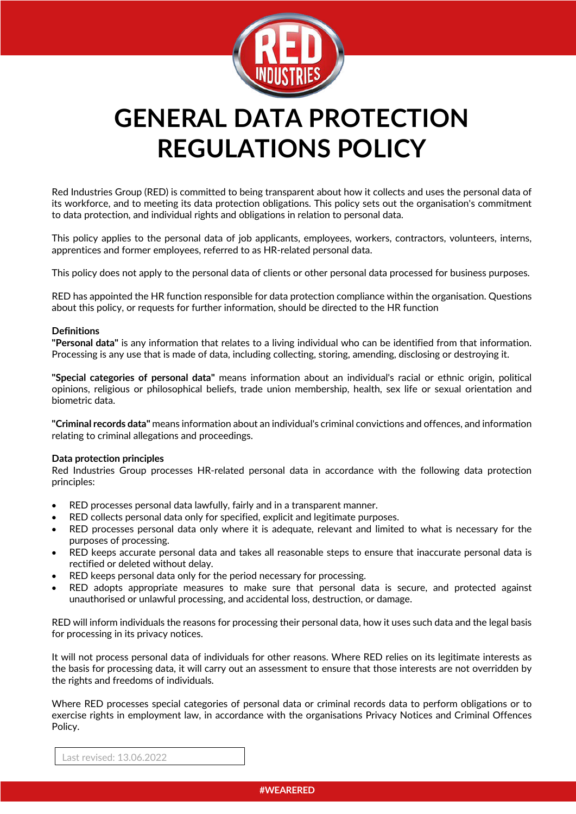

# **GENERAL DATA PROTECTION REGULATIONS POLICY**

Red Industries Group (RED) is committed to being transparent about how it collects and uses the personal data of its workforce, and to meeting its data protection obligations. This policy sets out the organisation's commitment to data protection, and individual rights and obligations in relation to personal data.

This policy applies to the personal data of job applicants, employees, workers, contractors, volunteers, interns, apprentices and former employees, referred to as HR-related personal data.

This policy does not apply to the personal data of clients or other personal data processed for business purposes.

RED has appointed the HR function responsible for data protection compliance within the organisation. Questions about this policy, or requests for further information, should be directed to the HR function

## **Definitions**

**"Personal data"** is any information that relates to a living individual who can be identified from that information. Processing is any use that is made of data, including collecting, storing, amending, disclosing or destroying it.

**"Special categories of personal data"** means information about an individual's racial or ethnic origin, political opinions, religious or philosophical beliefs, trade union membership, health, sex life or sexual orientation and biometric data.

**"Criminal records data"** means information about an individual's criminal convictions and offences, and information relating to criminal allegations and proceedings.

#### **Data protection principles**

Red Industries Group processes HR-related personal data in accordance with the following data protection principles:

- RED processes personal data lawfully, fairly and in a transparent manner.
- RED collects personal data only for specified, explicit and legitimate purposes.
- RED processes personal data only where it is adequate, relevant and limited to what is necessary for the purposes of processing.
- RED keeps accurate personal data and takes all reasonable steps to ensure that inaccurate personal data is rectified or deleted without delay.
- RED keeps personal data only for the period necessary for processing.
- RED adopts appropriate measures to make sure that personal data is secure, and protected against unauthorised or unlawful processing, and accidental loss, destruction, or damage.

RED will inform individuals the reasons for processing their personal data, how it uses such data and the legal basis for processing in its privacy notices.

It will not process personal data of individuals for other reasons. Where RED relies on its legitimate interests as the basis for processing data, it will carry out an assessment to ensure that those interests are not overridden by the rights and freedoms of individuals.

Where RED processes special categories of personal data or criminal records data to perform obligations or to exercise rights in employment law, in accordance with the organisations Privacy Notices and Criminal Offences Policy.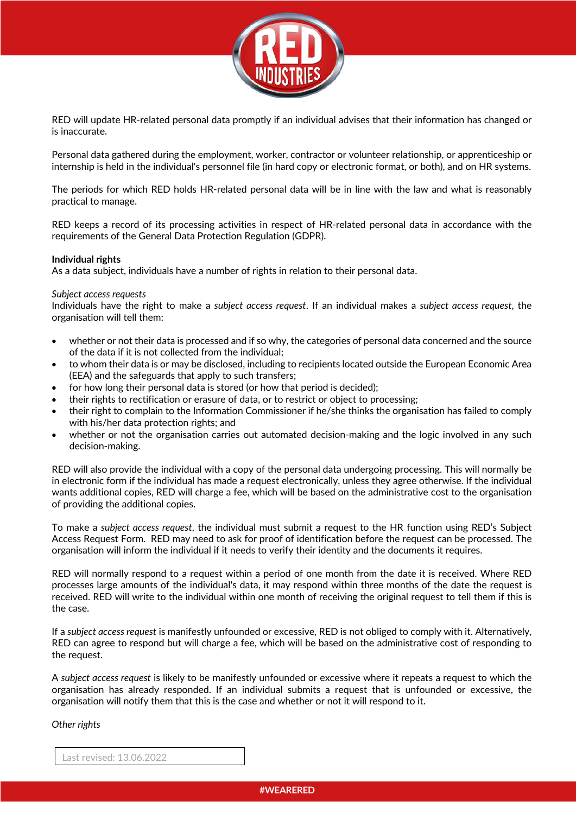

RED will update HR-related personal data promptly if an individual advises that their information has changed or is inaccurate.

Personal data gathered during the employment, worker, contractor or volunteer relationship, or apprenticeship or internship is held in the individual's personnel file (in hard copy or electronic format, or both), and on HR systems.

The periods for which RED holds HR-related personal data will be in line with the law and what is reasonably practical to manage.

RED keeps a record of its processing activities in respect of HR-related personal data in accordance with the requirements of the General Data Protection Regulation (GDPR).

#### **Individual rights**

As a data subject, individuals have a number of rights in relation to their personal data.

#### *Subject access requests*

Individuals have the right to make a *subject access request*. If an individual makes a *subject access request*, the organisation will tell them:

- whether or not their data is processed and if so why, the categories of personal data concerned and the source of the data if it is not collected from the individual;
- to whom their data is or may be disclosed, including to recipients located outside the European Economic Area (EEA) and the safeguards that apply to such transfers;
- for how long their personal data is stored (or how that period is decided);
- their rights to rectification or erasure of data, or to restrict or object to processing;
- their right to complain to the Information Commissioner if he/she thinks the organisation has failed to comply with his/her data protection rights; and
- whether or not the organisation carries out automated decision-making and the logic involved in any such decision-making.

RED will also provide the individual with a copy of the personal data undergoing processing. This will normally be in electronic form if the individual has made a request electronically, unless they agree otherwise. If the individual wants additional copies, RED will charge a fee, which will be based on the administrative cost to the organisation of providing the additional copies.

To make a *subject access request*, the individual must submit a request to the HR function using RED's Subject Access Request Form. RED may need to ask for proof of identification before the request can be processed. The organisation will inform the individual if it needs to verify their identity and the documents it requires.

RED will normally respond to a request within a period of one month from the date it is received. Where RED processes large amounts of the individual's data, it may respond within three months of the date the request is received. RED will write to the individual within one month of receiving the original request to tell them if this is the case.

If a *subject access request* is manifestly unfounded or excessive, RED is not obliged to comply with it. Alternatively, RED can agree to respond but will charge a fee, which will be based on the administrative cost of responding to the request.

A *subject access request* is likely to be manifestly unfounded or excessive where it repeats a request to which the organisation has already responded. If an individual submits a request that is unfounded or excessive, the organisation will notify them that this is the case and whether or not it will respond to it.

*Other rights*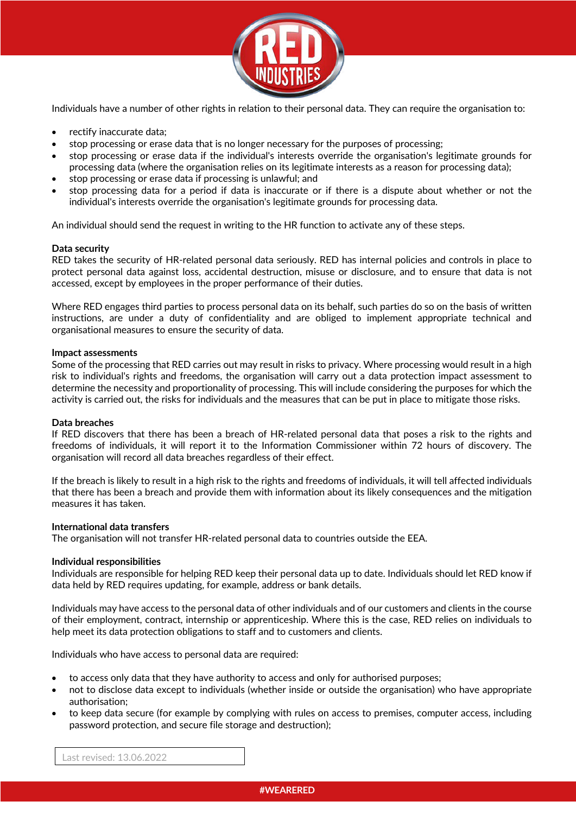

Individuals have a number of other rights in relation to their personal data. They can require the organisation to:

- rectify inaccurate data;
- stop processing or erase data that is no longer necessary for the purposes of processing;
- stop processing or erase data if the individual's interests override the organisation's legitimate grounds for processing data (where the organisation relies on its legitimate interests as a reason for processing data);
- stop processing or erase data if processing is unlawful; and
- stop processing data for a period if data is inaccurate or if there is a dispute about whether or not the individual's interests override the organisation's legitimate grounds for processing data.

An individual should send the request in writing to the HR function to activate any of these steps.

## **Data security**

RED takes the security of HR-related personal data seriously. RED has internal policies and controls in place to protect personal data against loss, accidental destruction, misuse or disclosure, and to ensure that data is not accessed, except by employees in the proper performance of their duties.

Where RED engages third parties to process personal data on its behalf, such parties do so on the basis of written instructions, are under a duty of confidentiality and are obliged to implement appropriate technical and organisational measures to ensure the security of data.

#### **Impact assessments**

Some of the processing that RED carries out may result in risks to privacy. Where processing would result in a high risk to individual's rights and freedoms, the organisation will carry out a data protection impact assessment to determine the necessity and proportionality of processing. This will include considering the purposes for which the activity is carried out, the risks for individuals and the measures that can be put in place to mitigate those risks.

#### **Data breaches**

If RED discovers that there has been a breach of HR-related personal data that poses a risk to the rights and freedoms of individuals, it will report it to the Information Commissioner within 72 hours of discovery. The organisation will record all data breaches regardless of their effect.

If the breach is likely to result in a high risk to the rights and freedoms of individuals, it will tell affected individuals that there has been a breach and provide them with information about its likely consequences and the mitigation measures it has taken.

#### **International data transfers**

The organisation will not transfer HR-related personal data to countries outside the EEA.

#### **Individual responsibilities**

Individuals are responsible for helping RED keep their personal data up to date. Individuals should let RED know if data held by RED requires updating, for example, address or bank details.

Individuals may have access to the personal data of other individuals and of our customers and clients in the course of their employment, contract, internship or apprenticeship. Where this is the case, RED relies on individuals to help meet its data protection obligations to staff and to customers and clients.

Individuals who have access to personal data are required:

- to access only data that they have authority to access and only for authorised purposes;
- not to disclose data except to individuals (whether inside or outside the organisation) who have appropriate authorisation;
- to keep data secure (for example by complying with rules on access to premises, computer access, including password protection, and secure file storage and destruction);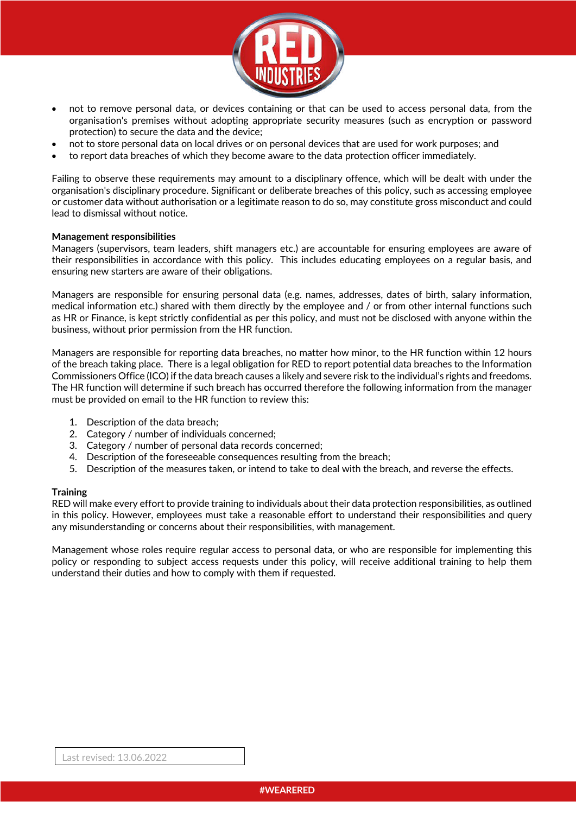

- not to remove personal data, or devices containing or that can be used to access personal data, from the organisation's premises without adopting appropriate security measures (such as encryption or password protection) to secure the data and the device;
- not to store personal data on local drives or on personal devices that are used for work purposes; and
- to report data breaches of which they become aware to the data protection officer immediately.

Failing to observe these requirements may amount to a disciplinary offence, which will be dealt with under the organisation's disciplinary procedure. Significant or deliberate breaches of this policy, such as accessing employee or customer data without authorisation or a legitimate reason to do so, may constitute gross misconduct and could lead to dismissal without notice.

#### **Management responsibilities**

Managers (supervisors, team leaders, shift managers etc.) are accountable for ensuring employees are aware of their responsibilities in accordance with this policy. This includes educating employees on a regular basis, and ensuring new starters are aware of their obligations.

Managers are responsible for ensuring personal data (e.g. names, addresses, dates of birth, salary information, medical information etc.) shared with them directly by the employee and / or from other internal functions such as HR or Finance, is kept strictly confidential as per this policy, and must not be disclosed with anyone within the business, without prior permission from the HR function.

Managers are responsible for reporting data breaches, no matter how minor, to the HR function within 12 hours of the breach taking place. There is a legal obligation for RED to report potential data breaches to the Information Commissioners Office (ICO) if the data breach causes a likely and severe risk to the individual's rights and freedoms. The HR function will determine if such breach has occurred therefore the following information from the manager must be provided on email to the HR function to review this:

- 1. Description of the data breach;
- 2. Category / number of individuals concerned;
- 3. Category / number of personal data records concerned;
- 4. Description of the foreseeable consequences resulting from the breach;
- 5. Description of the measures taken, or intend to take to deal with the breach, and reverse the effects.

#### **Training**

RED will make every effort to provide training to individuals about their data protection responsibilities, as outlined in this policy. However, employees must take a reasonable effort to understand their responsibilities and query any misunderstanding or concerns about their responsibilities, with management.

Management whose roles require regular access to personal data, or who are responsible for implementing this policy or responding to subject access requests under this policy, will receive additional training to help them understand their duties and how to comply with them if requested.